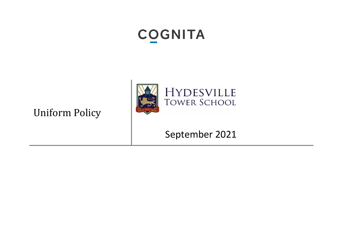# **COGNITA**





September 2021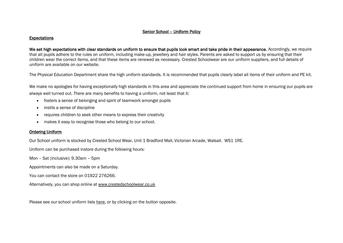## Senior School – Uniform Policy

#### Expectations

We set high expectations with clear standards on uniform to ensure that pupils look smart and take pride in their appearance. Accordingly, we require that all pupils adhere to the rules on uniform, including make-up, jewellery and hair styles. Parents are asked to support us by ensuring that their children wear the correct items, and that these items are renewed as necessary. Crested Schoolwear are our uniform suppliers, and full details of uniform are available on our website.

The Physical Education Department share the high uniform standards. It is recommended that pupils clearly label all items of their uniform and PE kit.

We make no apologies for having exceptionally high standards in this area and appreciate the continued support from home in ensuring our pupils are always well turned out. There are many benefits to having a uniform, not least that it:

- fosters a sense of belonging and spirit of teamwork amongst pupils
- instils a sense of discipline
- requires children to seek other means to express their creativity
- makes it easy to recognise those who belong to our school.

## Ordering Uniform

Our School uniform is stocked by Crested School Wear, Unit 1 Bradford Mall, Victorian Arcade, Walsall. WS1 1RE.

Uniform can be purchased instore during the following hours:

Mon – Sat (inclusive): 9.30am – 5pm

Appointments can also be made on a Saturday.

You can contact the store on 01922 276266.

Alternatively, you can shop online at [www.crestedschoolwear.co.uk](http://www.crestedschoolwear.co.uk/)

Please see our school uniform lists [here,](http://www.hydesville.com/school-uniform-details/) or by clicking on the button opposite.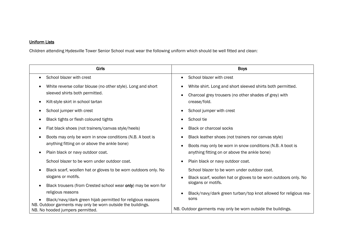## Uniform Lists

Children attending Hydesville Tower Senior School must wear the following uniform which should be well fitted and clean:

| Girls                                                                                            | <b>Boys</b>                                                      |
|--------------------------------------------------------------------------------------------------|------------------------------------------------------------------|
| School blazer with crest<br>$\bullet$                                                            | School blazer with crest                                         |
| White reverse collar blouse (no other style). Long and short                                     | White shirt. Long and short sleeved shirts both permitted.       |
| sleeved shirts both permitted.                                                                   | Charcoal grey trousers (no other shades of grey) with            |
| Kilt-style skirt in school tartan                                                                | crease/fold.                                                     |
| School jumper with crest                                                                         | School jumper with crest                                         |
| Black tights or flesh coloured tights                                                            | School tie                                                       |
| Flat black shoes (not trainers/canvas style/heels)                                               | <b>Black or charcoal socks</b>                                   |
| Boots may only be worn in snow conditions (N.B. A boot is                                        | Black leather shoes (not trainers nor canvas style)              |
| anything fitting on or above the ankle bone)                                                     | Boots may only be worn in snow conditions (N.B. A boot is        |
| Plain black or navy outdoor coat.                                                                | anything fitting on or above the ankle bone)                     |
| School blazer to be worn under outdoor coat.                                                     | Plain black or navy outdoor coat.                                |
| Black scarf, woollen hat or gloves to be worn outdoors only. No                                  | School blazer to be worn under outdoor coat.                     |
| slogans or motifs.                                                                               | Black scarf, woollen hat or gloves to be worn outdoors only. No  |
| Black trousers (from Crested school wear only) may be worn for                                   | slogans or motifs.                                               |
| religious reasons                                                                                | Black/navy/dark green turban/top knot allowed for religious rea- |
| Black/navy/dark green hijab permitted for religious reasons                                      | sons                                                             |
| NB. Outdoor garments may only be worn outside the buildings.<br>NB. No hooded jumpers permitted. | NB. Outdoor garments may only be worn outside the buildings.     |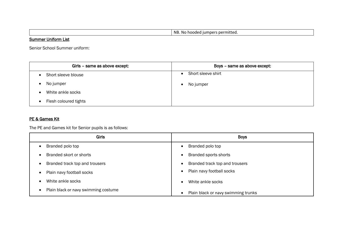NB. No hooded jumpers permitted.

## **Summer Uniform List**

Senior School Summer uniform:

| Girls - same as above except: | Boys - same as above except: |
|-------------------------------|------------------------------|
| Short sleeve blouse           | Short sleeve shirt           |
| No jumper                     | No jumper<br>$\bullet$       |
| White ankle socks             |                              |
| Flesh coloured tights         |                              |

## PE & Games Kit

The PE and Games kit for Senior pupils is as follows:

| <b>Girls</b>                                      | <b>Boys</b>                         |
|---------------------------------------------------|-------------------------------------|
| Branded polo top<br>٠                             | Branded polo top                    |
| Branded skort or shorts<br>$\bullet$              | <b>Branded sports shorts</b>        |
| Branded track top and trousers<br>$\bullet$       | Branded track top and trousers      |
| Plain navy football socks<br>$\bullet$            | Plain navy football socks           |
| White ankle socks<br>$\bullet$                    | White ankle socks                   |
| Plain black or navy swimming costume<br>$\bullet$ | Plain black or navy swimming trunks |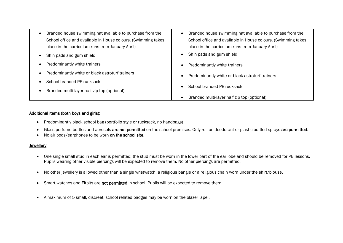| Branded house swimming hat available to purchase from the<br>$\bullet$<br>School office and available in House colours. (Swimming takes<br>place in the curriculum runs from January-April) | Branded house swimming hat available to purchase from the<br>School office and available in House colours. (Swimming takes<br>place in the curriculum runs from January-April) |
|---------------------------------------------------------------------------------------------------------------------------------------------------------------------------------------------|--------------------------------------------------------------------------------------------------------------------------------------------------------------------------------|
| Shin pads and gum shield                                                                                                                                                                    | Shin pads and gum shield                                                                                                                                                       |
| Predominantly white trainers                                                                                                                                                                | Predominantly white trainers                                                                                                                                                   |
| Predominantly white or black astroturf trainers                                                                                                                                             | Predominantly white or black astroturf trainers                                                                                                                                |
| School branded PE rucksack                                                                                                                                                                  |                                                                                                                                                                                |
| Branded multi-layer half zip top (optional)                                                                                                                                                 | School branded PE rucksack                                                                                                                                                     |
|                                                                                                                                                                                             | Branded multi-layer half zip top (optional)                                                                                                                                    |

#### Additional items (both boys and girls):

- Predominantly black school bag (portfolio style or rucksack, no handbags)
- Glass perfume bottles and aerosols are not permitted on the school premises. Only roll-on deodorant or plastic bottled sprays are permitted.
- No air pods/earphones to be worn on the school site.

## **Jewellery**

- One single small stud in each ear is permitted; the stud must be worn in the lower part of the ear lobe and should be removed for PE lessons. Pupils wearing other visible piercings will be expected to remove them. No other piercings are permitted.
- No other jewellery is allowed other than a single wristwatch, a religious bangle or a religious chain worn under the shirt/blouse.
- Smart watches and Fitbits are not permitted in school. Pupils will be expected to remove them.
- A maximum of 5 small, discreet, school related badges may be worn on the blazer lapel.